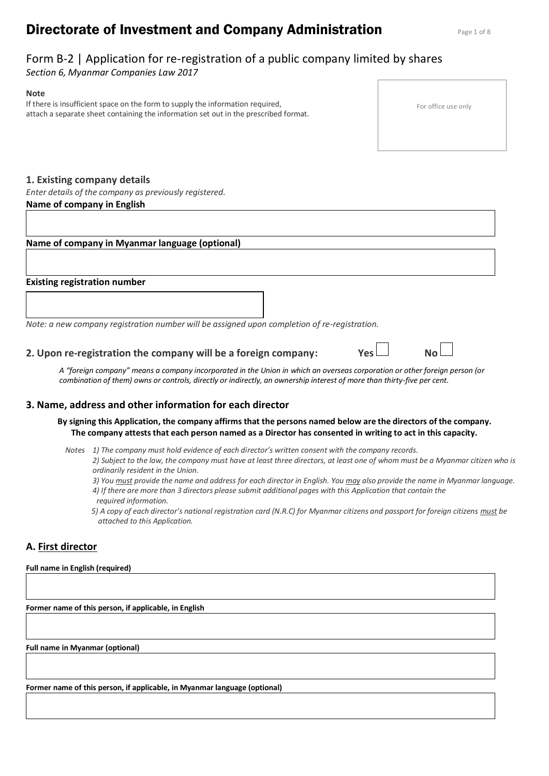# **Directorate of Investment and Company Administration Page 1 of 8**

## Form B-2 | Application for re-registration of a public company limited by shares

*Section 6, Myanmar Companies Law 2017*

#### **Note**

If there is insufficient space on the form to supply the information required, attach a separate sheet containing the information set out in the prescribed format.

For office use only

## **1. Existing company details**

*Enter details of the company as previously registered.* **Name of company in English** 

## **Name of company in Myanmar language (optional)**

#### **Existing registration number**

*Note: a new company registration number will be assigned upon completion of re-registration.*

## **2. Upon re-registration the company will be a foreign company: Yes**

*A "foreign company" means a company incorporated in the Union in which an overseas corporation or other foreign person (or combination of them) owns or controls, directly or indirectly, an ownership interest of more than thirty-five per cent.*

### **3. Name, address and other information for each director**

**By signing this Application, the company affirms that the persons named below are the directors of the company. The company attests that each person named as a Director has consented in writing to act in this capacity.**

*Notes 1) The company must hold evidence of each director's written consent with the company records.*

*2) Subject to the law, the company must have at least three directors, at least one of whom must be a Myanmar citizen who is ordinarily resident in the Union.*

*3) You must provide the name and address for each director in English. You may also provide the name in Myanmar language.*

*4) If there are more than 3 directors please submit additional pages with this Application that contain the required information.*

*5) A copy of each director's national registration card (N.R.C) for Myanmar citizens and passport for foreign citizens must be attached to this Application.* 

## **A. First director**

#### **Full name in English (required)**

**Former name of this person, if applicable, in English**

**Full name in Myanmar (optional)**

**Former name of this person, if applicable, in Myanmar language (optional)**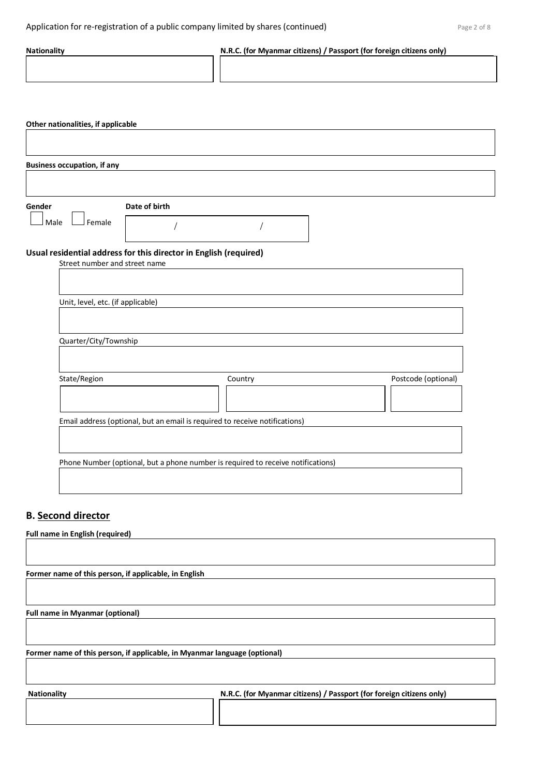| <b>Nationality</b>                                                                                                                                                    | N.R.C. (for Myanmar citizens) / Passport (for foreign citizens only)             |                     |
|-----------------------------------------------------------------------------------------------------------------------------------------------------------------------|----------------------------------------------------------------------------------|---------------------|
| Other nationalities, if applicable                                                                                                                                    |                                                                                  |                     |
| <b>Business occupation, if any</b>                                                                                                                                    |                                                                                  |                     |
| Gender<br>Date of birth<br>$\mathsf{\mathsf{I}}$ Female<br>Male<br>Usual residential address for this director in English (required)<br>Street number and street name |                                                                                  |                     |
| Unit, level, etc. (if applicable)<br>Quarter/City/Township                                                                                                            |                                                                                  |                     |
| State/Region                                                                                                                                                          | Country                                                                          | Postcode (optional) |
|                                                                                                                                                                       | Email address (optional, but an email is required to receive notifications)      |                     |
|                                                                                                                                                                       | Phone Number (optional, but a phone number is required to receive notifications) |                     |
| <b>B.</b> Second director<br>Full name in English (required)                                                                                                          |                                                                                  |                     |
| Former name of this person, if applicable, in English                                                                                                                 |                                                                                  |                     |

**Full name in Myanmar (optional)**

**Former name of this person, if applicable, in Myanmar language (optional)**

| <b>Nationality</b> | N.R.C. (for Myanmar citizens) / Passport (for foreign citizens only) |
|--------------------|----------------------------------------------------------------------|
|                    |                                                                      |
|                    |                                                                      |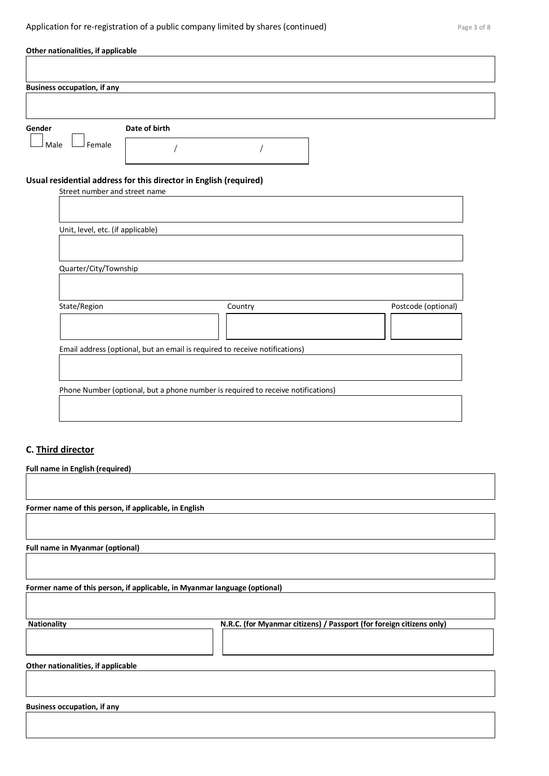## Application for re-registration of a public company limited by shares (continued) Page 3 of 8

| Other nationalities, if applicable |                                                                                  |                     |
|------------------------------------|----------------------------------------------------------------------------------|---------------------|
|                                    |                                                                                  |                     |
| <b>Business occupation, if any</b> |                                                                                  |                     |
|                                    |                                                                                  |                     |
|                                    |                                                                                  |                     |
| Gender                             | Date of birth                                                                    |                     |
| Female<br>Male                     |                                                                                  |                     |
| Street number and street name      | Usual residential address for this director in English (required)                |                     |
|                                    |                                                                                  |                     |
|                                    |                                                                                  |                     |
| Unit, level, etc. (if applicable)  |                                                                                  |                     |
|                                    |                                                                                  |                     |
|                                    |                                                                                  |                     |
| Quarter/City/Township              |                                                                                  |                     |
|                                    |                                                                                  |                     |
| State/Region                       | Country                                                                          | Postcode (optional) |
|                                    |                                                                                  |                     |
|                                    |                                                                                  |                     |
|                                    | Email address (optional, but an email is required to receive notifications)      |                     |
|                                    |                                                                                  |                     |
|                                    |                                                                                  |                     |
|                                    | Phone Number (optional, but a phone number is required to receive notifications) |                     |
|                                    |                                                                                  |                     |
|                                    |                                                                                  |                     |
|                                    |                                                                                  |                     |

## **C. Third director**

| Full name in English (required)                       |                                                                           |
|-------------------------------------------------------|---------------------------------------------------------------------------|
|                                                       |                                                                           |
|                                                       |                                                                           |
| Former name of this person, if applicable, in English |                                                                           |
|                                                       |                                                                           |
|                                                       |                                                                           |
| <b>Full name in Myanmar (optional)</b>                |                                                                           |
|                                                       |                                                                           |
|                                                       |                                                                           |
|                                                       | Former name of this person, if applicable, in Myanmar language (optional) |
|                                                       |                                                                           |
|                                                       |                                                                           |
| <b>Nationality</b>                                    | N.R.C. (for Myanmar citizens) / Passport (for foreign citizens only)      |
|                                                       |                                                                           |
|                                                       |                                                                           |
| Other nationalities, if applicable                    |                                                                           |
|                                                       |                                                                           |
|                                                       |                                                                           |
|                                                       |                                                                           |
| <b>Business occupation, if any</b>                    |                                                                           |
|                                                       |                                                                           |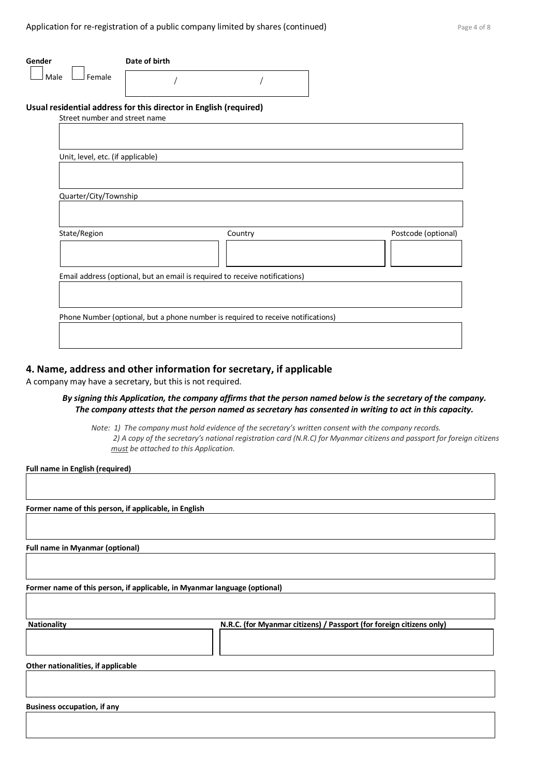| Gender                                                            | Date of birth                 |                                                                                  |                     |
|-------------------------------------------------------------------|-------------------------------|----------------------------------------------------------------------------------|---------------------|
| Female<br>Male                                                    |                               |                                                                                  |                     |
| Usual residential address for this director in English (required) | Street number and street name |                                                                                  |                     |
|                                                                   |                               |                                                                                  |                     |
| Unit, level, etc. (if applicable)                                 |                               |                                                                                  |                     |
|                                                                   |                               |                                                                                  |                     |
| Quarter/City/Township                                             |                               |                                                                                  |                     |
|                                                                   |                               |                                                                                  |                     |
| State/Region                                                      |                               | Country                                                                          | Postcode (optional) |
|                                                                   |                               |                                                                                  |                     |
|                                                                   |                               | Email address (optional, but an email is required to receive notifications)      |                     |
|                                                                   |                               |                                                                                  |                     |
|                                                                   |                               | Phone Number (optional, but a phone number is required to receive notifications) |                     |

#### **4. Name, address and other information for secretary, if applicable**

A company may have a secretary, but this is not required.

#### *By signing this Application, the company affirms that the person named below is the secretary of the company. The company attests that the person named as secretary has consented in writing to act in this capacity.*

*Note: 1) The company must hold evidence of the secretary's written consent with the company records. 2) A copy of the secretary's national registration card (N.R.C) for Myanmar citizens and passport for foreign citizens must be attached to this Application.* 

**Full name in English (required)**

**Former name of this person, if applicable, in English**

**Full name in Myanmar (optional)**

**Former name of this person, if applicable, in Myanmar language (optional)**

| <b>Nationality</b> | N.R.C. (for Myanmar citizens) / Passport (for foreign citizens only) |
|--------------------|----------------------------------------------------------------------|
|                    |                                                                      |
|                    |                                                                      |

**Other nationalities, if applicable**

**Business occupation, if any**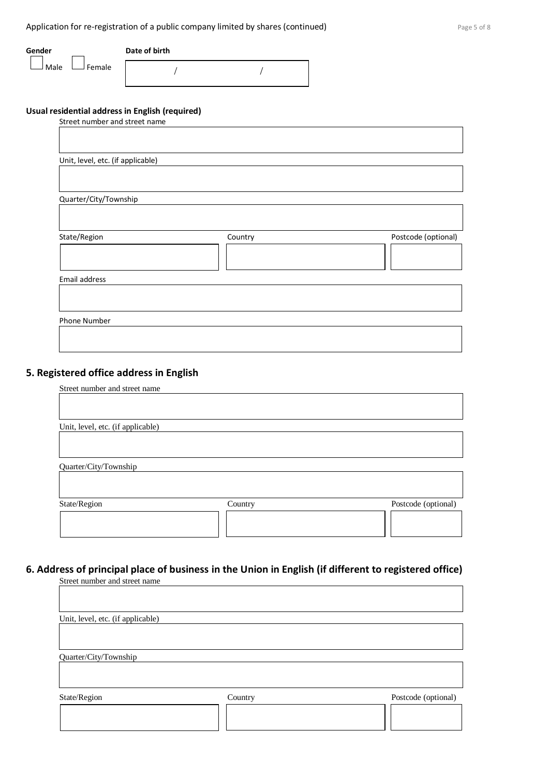| Gender             | Date of birth |  |
|--------------------|---------------|--|
| J Female<br>J Male |               |  |

## **Usual residential address in English (required)**

| Street number and street name     |         |                     |
|-----------------------------------|---------|---------------------|
|                                   |         |                     |
|                                   |         |                     |
| Unit, level, etc. (if applicable) |         |                     |
|                                   |         |                     |
|                                   |         |                     |
| Quarter/City/Township             |         |                     |
|                                   |         |                     |
|                                   |         |                     |
| State/Region                      | Country | Postcode (optional) |
|                                   |         |                     |
|                                   |         |                     |
| Email address                     |         |                     |
|                                   |         |                     |
|                                   |         |                     |
| Phone Number                      |         |                     |
|                                   |         |                     |
|                                   |         |                     |

## **5. Registered office address in English**

Street number and street name

| Unit, level, etc. (if applicable) |         |                     |
|-----------------------------------|---------|---------------------|
|                                   |         |                     |
| Quarter/City/Township             |         |                     |
| State/Region                      | Country | Postcode (optional) |
|                                   |         |                     |

## **6. Address of principal place of business in the Union in English (if different to registered office)**

| Street number and street name     |         |                     |
|-----------------------------------|---------|---------------------|
|                                   |         |                     |
|                                   |         |                     |
|                                   |         |                     |
| Unit, level, etc. (if applicable) |         |                     |
|                                   |         |                     |
|                                   |         |                     |
| Quarter/City/Township             |         |                     |
|                                   |         |                     |
|                                   |         |                     |
|                                   |         |                     |
| State/Region                      | Country | Postcode (optional) |
|                                   |         |                     |
|                                   |         |                     |
|                                   |         |                     |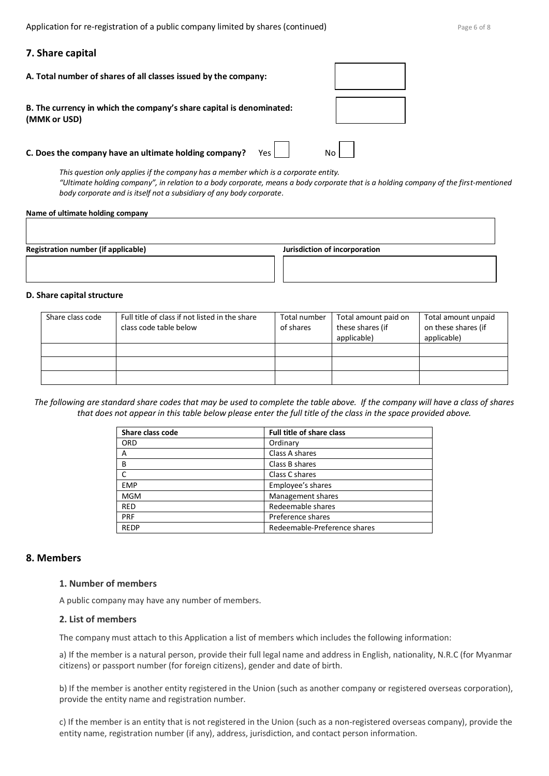Application for re-registration of a public company limited by shares (continued) Page 6 of 8

#### **7. Share capital**

| A. Total number of shares of all classes issued by the company:                      |       |  |
|--------------------------------------------------------------------------------------|-------|--|
| B. The currency in which the company's share capital is denominated:<br>(MMK or USD) |       |  |
| C. Does the company have an ultimate holding company?                                | Yes I |  |

*This question only applies if the company has a member which is a corporate entity. "Ultimate holding company", in relation to a body corporate, means a body corporate that is a holding company of the first-mentioned body corporate and is itself not a subsidiary of any body corporate.*

#### **Name of ultimate holding company**

| Registration number (if applicable) | Jurisdiction of incorporation |  |
|-------------------------------------|-------------------------------|--|
|                                     |                               |  |

#### **D. Share capital structure**

| Share class code | Full title of class if not listed in the share<br>class code table below | Total number<br>of shares | Total amount paid on<br>these shares (if<br>applicable) | Total amount unpaid<br>on these shares (if<br>applicable) |
|------------------|--------------------------------------------------------------------------|---------------------------|---------------------------------------------------------|-----------------------------------------------------------|
|                  |                                                                          |                           |                                                         |                                                           |
|                  |                                                                          |                           |                                                         |                                                           |
|                  |                                                                          |                           |                                                         |                                                           |

*The following are standard share codes that may be used to complete the table above. If the company will have a class of shares that does not appear in this table below please enter the full title of the class in the space provided above.*

| Share class code | <b>Full title of share class</b> |
|------------------|----------------------------------|
| <b>ORD</b>       | Ordinary                         |
| A                | Class A shares                   |
| в                | Class B shares                   |
|                  | Class C shares                   |
| <b>EMP</b>       | Employee's shares                |
| <b>MGM</b>       | Management shares                |
| <b>RED</b>       | Redeemable shares                |
| PRF              | Preference shares                |
| <b>REDP</b>      | Redeemable-Preference shares     |

#### **8. Members**

## **1. Number of members**

A public company may have any number of members.

#### **2. List of members**

The company must attach to this Application a list of members which includes the following information:

a) If the member is a natural person, provide their full legal name and address in English, nationality, N.R.C (for Myanmar citizens) or passport number (for foreign citizens), gender and date of birth.

b) If the member is another entity registered in the Union (such as another company or registered overseas corporation), provide the entity name and registration number.

c) If the member is an entity that is not registered in the Union (such as a non-registered overseas company), provide the entity name, registration number (if any), address, jurisdiction, and contact person information.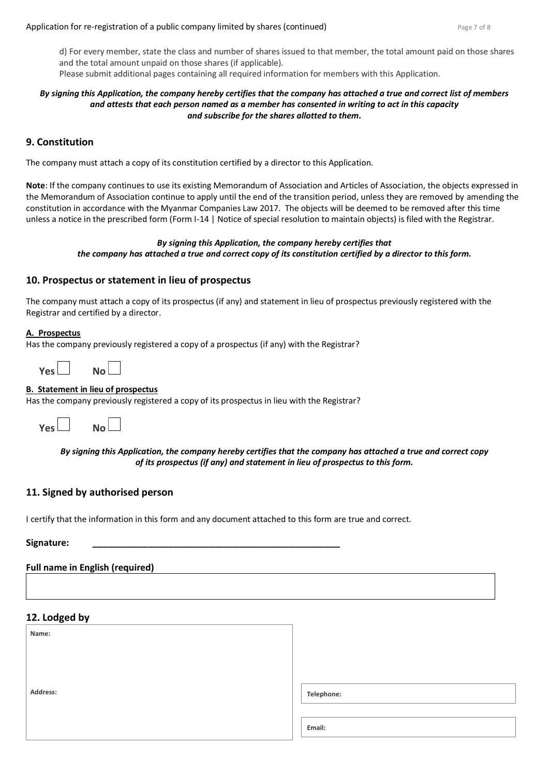d) For every member, state the class and number of shares issued to that member, the total amount paid on those shares and the total amount unpaid on those shares (if applicable). Please submit additional pages containing all required information for members with this Application.

### *By signing this Application, the company hereby certifies that the company has attached a true and correct list of members and attests that each person named as a member has consented in writing to act in this capacity and subscribe for the shares allotted to them.*

## **9. Constitution**

The company must attach a copy of its constitution certified by a director to this Application.

**Note**: If the company continues to use its existing Memorandum of Association and Articles of Association, the objects expressed in the Memorandum of Association continue to apply until the end of the transition period, unless they are removed by amending the constitution in accordance with the Myanmar Companies Law 2017. The objects will be deemed to be removed after this time unless a notice in the prescribed form (Form I-14 | Notice of special resolution to maintain objects) is filed with the Registrar.

#### *By signing this Application, the company hereby certifies that the company has attached a true and correct copy of its constitution certified by a director to this form.*

### **10. Prospectus or statement in lieu of prospectus**

The company must attach a copy of its prospectus (if any) and statement in lieu of prospectus previously registered with the Registrar and certified by a director.

#### **A. Prospectus**

Has the company previously registered a copy of a prospectus (if any) with the Registrar?

| Yes L |  | No l |  |
|-------|--|------|--|
|-------|--|------|--|

#### **B. Statement in lieu of prospectus**

Has the company previously registered a copy of its prospectus in lieu with the Registrar?



### *By signing this Application, the company hereby certifies that the company has attached a true and correct copy of its prospectus (if any) and statement in lieu of prospectus to this form.*

### **11. Signed by authorised person**

I certify that the information in this form and any document attached to this form are true and correct.

## **Signature: \_\_\_\_\_\_\_\_\_\_\_\_\_\_\_\_\_\_\_\_\_\_\_\_\_\_\_\_\_\_\_\_\_\_\_\_\_\_\_\_\_\_\_\_\_\_\_\_\_**

#### **Full name in English (required)**

## **12. Lodged by**

| $\sim$<br>. .<br>Name: |            |
|------------------------|------------|
|                        |            |
|                        |            |
| Address:               | Telephone: |
|                        |            |
|                        | Email:     |